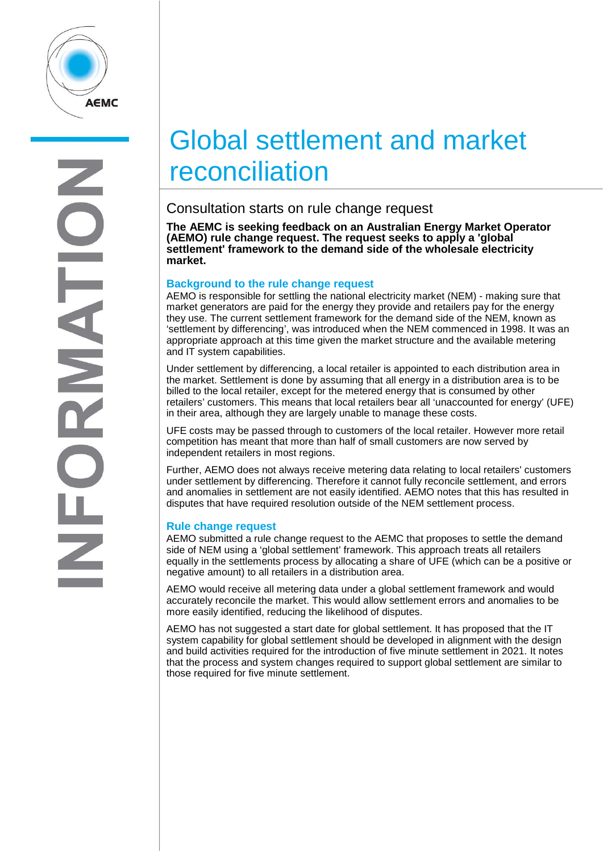

# Global settlement and market reconciliation

## Consultation starts on rule change request

**The AEMC is seeking feedback on an Australian Energy Market Operator (AEMO) rule change request. The request seeks to apply a 'global settlement' framework to the demand side of the wholesale electricity market.** 

#### **Background to the rule change request**

AEMO is responsible for settling the national electricity market (NEM) - making sure that market generators are paid for the energy they provide and retailers pay for the energy they use. The current settlement framework for the demand side of the NEM, known as 'settlement by differencing', was introduced when the NEM commenced in 1998. It was an appropriate approach at this time given the market structure and the available metering and IT system capabilities.

Under settlement by differencing, a local retailer is appointed to each distribution area in the market. Settlement is done by assuming that all energy in a distribution area is to be billed to the local retailer, except for the metered energy that is consumed by other retailers' customers. This means that local retailers bear all 'unaccounted for energy' (UFE) in their area, although they are largely unable to manage these costs.

UFE costs may be passed through to customers of the local retailer. However more retail competition has meant that more than half of small customers are now served by independent retailers in most regions.

Further, AEMO does not always receive metering data relating to local retailers' customers under settlement by differencing. Therefore it cannot fully reconcile settlement, and errors and anomalies in settlement are not easily identified. AEMO notes that this has resulted in disputes that have required resolution outside of the NEM settlement process.

### **Rule change request**

AEMO submitted a rule change request to the AEMC that proposes to settle the demand side of NEM using a 'global settlement' framework. This approach treats all retailers equally in the settlements process by allocating a share of UFE (which can be a positive or negative amount) to all retailers in a distribution area.

AEMO would receive all metering data under a global settlement framework and would accurately reconcile the market. This would allow settlement errors and anomalies to be more easily identified, reducing the likelihood of disputes.

AEMO has not suggested a start date for global settlement. It has proposed that the IT system capability for global settlement should be developed in alignment with the design and build activities required for the introduction of five minute settlement in 2021. It notes that the process and system changes required to support global settlement are similar to those required for five minute settlement.